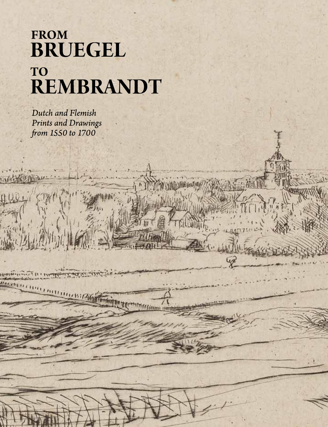# FROM<br>BRUEGEL TO REMBRANDT

Dutch and Flemish Prints and Drawings from 1550 to 1700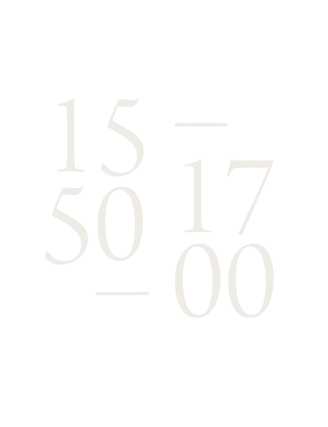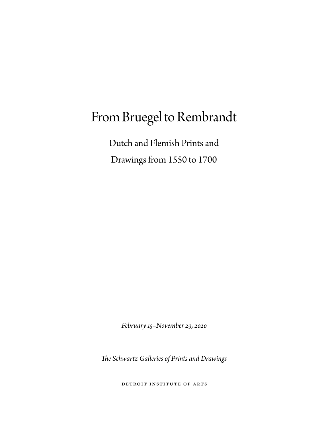## From Bruegel to Rembrandt

Dutch and Flemish Prints and Drawings from 1550 to 1700

*February 15–November 29, 2020*

*The Schwartz Galleries of Prints and Drawings*

Detroit Institute of Arts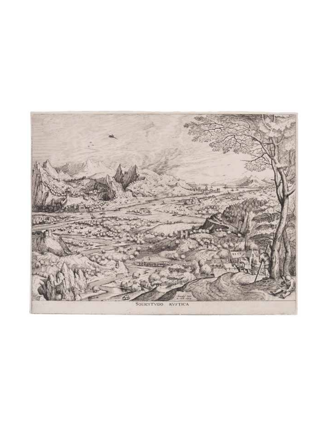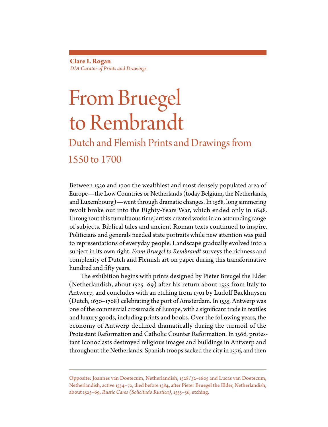**Clare I. Rogan** *DIA Curator of Prints and Drawings*

## From Bruegel to Rembrandt

### Dutch and Flemish Prints and Drawings from 1550 to 1700

Between 1550 and 1700 the wealthiest and most densely populated area of Europe—the Low Countries or Netherlands (today Belgium, the Netherlands, and Luxembourg)—went through dramatic changes. In 1568, long simmering revolt broke out into the Eighty-Years War, which ended only in 1648. Throughout this tumultuous time, artists created works in an astounding range of subjects. Biblical tales and ancient Roman texts continued to inspire. Politicians and generals needed state portraits while new attention was paid to representations of everyday people. Landscape gradually evolved into a subject in its own right. *From Bruegel to Rembrandt* surveys the richness and complexity of Dutch and Flemish art on paper during this transformative hundred and fifty years.

The exhibition begins with prints designed by Pieter Breugel the Elder (Netherlandish, about 1525–69) after his return about 1555 from Italy to Antwerp, and concludes with an etching from 1701 by Ludolf Backhuysen (Dutch, 1630–1708) celebrating the port of Amsterdam. In 1555, Antwerp was one of the commercial crossroads of Europe, with a significant trade in textiles and luxury goods, including prints and books. Over the following years, the economy of Antwerp declined dramatically during the turmoil of the Protestant Reformation and Catholic Counter Reformation. In 1566, protestant Iconoclasts destroyed religious images and buildings in Antwerp and throughout the Netherlands. Spanish troops sacked the city in 1576, and then

Opposite: Joannes van Doetecum, Netherlandish, 1528/32–1605 and Lucas van Doetecum, Netherlandish, active 1554–72, died before 1584, after Pieter Bruegel the Elder, Netherlandish, about 1525–69, *Rustic Cares (Solicitudo Rustica)*, 1555–56, etching.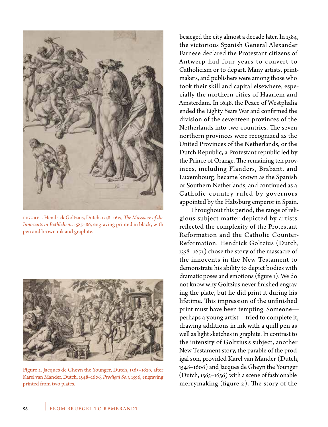

Figure 1. Hendrick Goltzius, Dutch, 1558–1617, *The Massacre of the Innocents in Bethlehem*, 1585–86, engraving printed in black, with pen and brown ink and graphite.



Figure 2. Jacques de Gheyn the Younger, Dutch, 1565–1629, after Karel van Mander, Dutch, 1548–1606, *Prodigal Son*, 1596, engraving printed from two plates.

besieged the city almost a decade later. In 1584, the victorious Spanish General Alexander Farnese declared the Protestant citizens of Antwerp had four years to convert to Catholicism or to depart. Many artists, printmakers, and publishers were among those who took their skill and capital elsewhere, especially the northern cities of Haarlem and Amsterdam. In 1648, the Peace of Westphalia ended the Eighty Years War and confirmed the division of the seventeen provinces of the Netherlands into two countries. The seven northern provinces were recognized as the United Provinces of the Netherlands, or the Dutch Republic, a Protestant republic led by the Prince of Orange. The remaining ten provinces, including Flanders, Brabant, and Luxembourg, became known as the Spanish or Southern Netherlands, and continued as a Catholic country ruled by governors appointed by the Habsburg emperor in Spain.

Throughout this period, the range of religious subject matter depicted by artists reflected the complexity of the Protestant Reformation and the Catholic Counter-Reformation. Hendrick Goltzius (Dutch, 1558–1671) chose the story of the massacre of the innocents in the New Testament to demonstrate his ability to depict bodies with dramatic poses and emotions (figure 1). We do not know why Goltzius never finished engraving the plate, but he did print it during his lifetime. This impression of the unfinished print must have been tempting. Someone perhaps a young artist—tried to complete it, drawing additions in ink with a quill pen as well as light sketches in graphite. In contrast to the intensity of Goltzius's subject, another New Testament story, the parable of the prodigal son, provided Karel van Mander (Dutch, 1548–1606) and Jacques de Gheyn the Younger (Dutch, 1565–1656) with a scene of fashionable merrymaking (figure 2). The story of the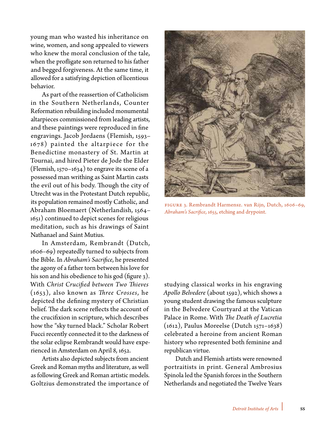young man who wasted his inheritance on wine, women, and song appealed to viewers who knew the moral conclusion of the tale, when the profligate son returned to his father and begged forgiveness. At the same time, it allowed for a satisfying depiction of licentious behavior.

As part of the reassertion of Catholicism in the Southern Netherlands, Counter Reformation rebuilding included monumental altarpieces commissioned from leading artists, and these paintings were reproduced in fine engravings. Jacob Jordaens (Flemish, 1593– 1678) painted the altarpiece for the Benedictine monastery of St. Martin at Tournai, and hired Pieter de Jode the Elder (Flemish, 1570–1634) to engrave its scene of a possessed man writhing as Saint Martin casts the evil out of his body. Though the city of Utrecht was in the Protestant Dutch republic, its population remained mostly Catholic, and Abraham Bloemaert (Netherlandish, 1564– 1651) continued to depict scenes for religious meditation, such as his drawings of Saint Nathanael and Saint Mutius.

In Amsterdam, Rembrandt (Dutch, 1606–69) repeatedly turned to subjects from the Bible. In *Abraham's Sacrifice*, he presented the agony of a father torn between his love for his son and his obedience to his god (figure 3). With *Christ Crucified between Two Thieves*  (1653), also known as *Three Crosses*, he depicted the defining mystery of Christian belief. The dark scene reflects the account of the crucifixion in scripture, which describes how the "sky turned black." Scholar Robert Fucci recently connected it to the darkness of the solar eclipse Rembrandt would have experienced in Amsterdam on April 8, 1652.

Artists also depicted subjects from ancient Greek and Roman myths and literature, as well as following Greek and Roman artistic models. Goltzius demonstrated the importance of



Figure 3. Rembrandt Harmensz. van Rijn, Dutch, 1606–69, *Abraham's Sacrifice*, 1655, etching and drypoint.

studying classical works in his engraving *Apollo Belvedere* (about 1592), which shows a young student drawing the famous sculpture in the Belvedere Courtyard at the Vatican Palace in Rome. With *The Death of Lucretia* (1612), Paulus Moreelse (Dutch 1571–1638) celebrated a heroine from ancient Roman history who represented both feminine and republican virtue.

Dutch and Flemish artists were renowned portraitists in print. General Ambrosius Spinola led the Spanish forces in the Southern Netherlands and negotiated the Twelve Years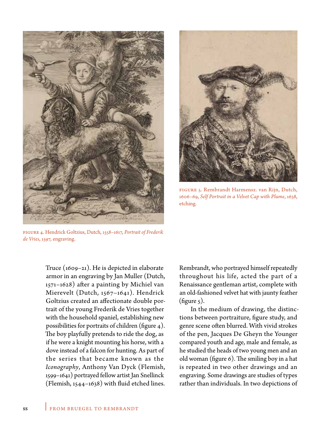



Figure 5. Rembrandt Harmensz. van Rijn, Dutch, 1606–69, *Self Portrait in a Velvet Cap with Plume*, 1638, etching.

Figure 4. Hendrick Goltzius, Dutch, 1558–1617, *Portrait of Frederik de Vries*, 1597, engraving.

Truce (1609–21). He is depicted in elaborate armor in an engraving by Jan Muller (Dutch, 1571–1628) after a painting by Michiel van Mierevelt (Dutch, 1567–1641). Hendrick Goltzius created an affectionate double portrait of the young Frederik de Vries together with the household spaniel, establishing new possibilities for portraits of children (figure 4). The boy playfully pretends to ride the dog, as if he were a knight mounting his horse, with a dove instead of a falcon for hunting. As part of the series that became known as the *Iconography*, Anthony Van Dyck (Flemish, 1599–1641) portrayed fellow artist Jan Snellinck (Flemish, 1544–1638) with fluid etched lines.

Rembrandt, who portrayed himself repeatedly throughout his life, acted the part of a Renaissance gentleman artist, complete with an old-fashioned velvet hat with jaunty feather (figure  $\zeta$ ).

In the medium of drawing, the distinctions between portraiture, figure study, and genre scene often blurred. With vivid strokes of the pen, Jacques De Gheyn the Younger compared youth and age, male and female, as he studied the heads of two young men and an old woman (figure 6). The smiling boy in a hat is repeated in two other drawings and an engraving. Some drawings are studies of types rather than individuals. In two depictions of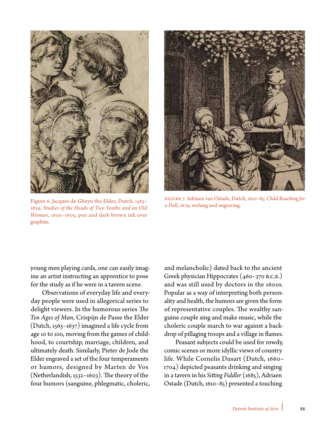

Figure 6. Jacques de Gheyn the Elder, Dutch, 1565–<br>1620, Studies of the Heads of Two Youths and an Old and Doll, 1679, etching and engraving. 1629, *Studies of the Heads of Two Youths and an Old Woman*, 1600–1605, pen and dark brown ink over graphite.



Figure 7. Adriaen van Ostade, Dutch, 1610–85, *Child Reaching for* 

young men playing cards, one can easily imagine an artist instructing an apprentice to pose for the study as if he were in a tavern scene.

Observations of everyday life and everyday people were used in allegorical series to delight viewers. In the humorous series *The Ten Ages of Man*, Crispijn de Passe the Elder (Dutch, 1565–1637) imagined a life cycle from age 10 to 100, moving from the games of childhood, to courtship, marriage, children, and ultimately death. Similarly, Pieter de Jode the Elder engraved a set of the four temperaments or humors, designed by Marten de Vos (Netherlandish, 1532–1603). The theory of the four humors (sanguine, phlegmatic, choleric,

and melancholic) dated back to the ancient Greek physician Hippocrates (460–370 B.C.E.) and was still used by doctors in the 1600s. Popular as a way of interpreting both personality and health, the humors are given the form of representative couples. The wealthy sanguine couple sing and make music, while the choleric couple march to war against a backdrop of pillaging troops and a village in flames.

Peasant subjects could be used for rowdy, comic scenes or more idyllic views of country life. While Cornelis Dusart (Dutch, 1660– 1704) depicted peasants drinking and singing in a tavern in his *Sitting Fiddler* (1685), Adriaen Ostade (Dutch, 1610–85) presented a touching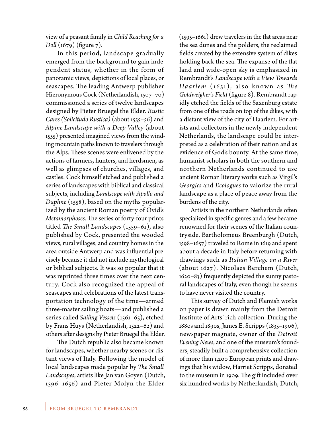view of a peasant family in *Child Reaching for a Doll* (1679) (figure 7).

In this period, landscape gradually emerged from the background to gain independent status, whether in the form of panoramic views, depictions of local places, or seascapes. The leading Antwerp publisher Hieronymous Cock (Netherlandish, 1507–70) commissioned a series of twelve landscapes designed by Pieter Bruegel the Elder. *Rustic Cares (Solicitudo Rustica)* (about 1555–56) and *Alpine Landscape with a Deep Valley* (about 1555) presented imagined views from the winding mountain paths known to travelers through the Alps. These scenes were enlivened by the actions of farmers, hunters, and herdsmen, as well as glimpses of churches, villages, and castles. Cock himself etched and published a series of landscapes with biblical and classical subjects, including *Landscape with Apollo and Daphne* (1558), based on the myths popularized by the ancient Roman poetry of Ovid's *Metamorphoses*. The series of forty-four prints titled *The Small Landscapes* (1559–61), also published by Cock, presented the wooded views, rural villages, and country homes in the area outside Antwerp and was influential precisely because it did not include mythological or biblical subjects. It was so popular that it was reprinted three times over the next century. Cock also recognized the appeal of seascapes and celebrations of the latest transportation technology of the time—armed three-master sailing boats—and published a series called *Sailing Vessels* (1561–65), etched by Frans Huys (Netherlandish, 1522–62) and others after designs by Pieter Bruegel the Elder.

The Dutch republic also became known for landscapes, whether nearby scenes or distant views of Italy. Following the model of local landscapes made popular by *The Small Landscapes*, artists like Jan van Goyen (Dutch, 1596–1656) and Pieter Molyn the Elder

(1595–1661) drew travelers in the flat areas near the sea dunes and the polders, the reclaimed fields created by the extensive system of dikes holding back the sea. The expanse of the flat land and wide-open sky is emphasized in Rembrandt's *Landscape with a View Towards Haarlem* (1651), also known as *The Goldweigher's Field* (figure 8). Rembrandt rapidly etched the fields of the Saxenburg estate from one of the roads on top of the dikes, with a distant view of the city of Haarlem. For artists and collectors in the newly independent Netherlands, the landscape could be interpreted as a celebration of their nation and as evidence of God's bounty. At the same time, humanist scholars in both the southern and northern Netherlands continued to use ancient Roman literary works such as Virgil's *Georgics* and *Ecologues* to valorize the rural landscape as a place of peace away from the burdens of the city.

Artists in the northern Netherlands often specialized in specific genres and a few became renowned for their scenes of the Italian countryside. Bartholomeus Breenburgh (Dutch, 1598–1657) traveled to Rome in 1619 and spent about a decade in Italy before returning with drawings such as *Italian Village on a River* (about 1627). Nicolaes Berchem (Dutch, 1620–83) frequently depicted the sunny pastoral landscapes of Italy, even though he seems to have never visited the country.

This survey of Dutch and Flemish works on paper is drawn mainly from the Detroit Institute of Arts' rich collection. During the 1880s and 1890s, James E. Scripps (1835–1906), newspaper magnate, owner of the *Detroit Evening News*, and one of the museum's founders, steadily built a comprehensive collection of more than 1,200 European prints and drawings that his widow, Harriet Scripps, donated to the museum in 1909. The gift included over six hundred works by Netherlandish, Dutch,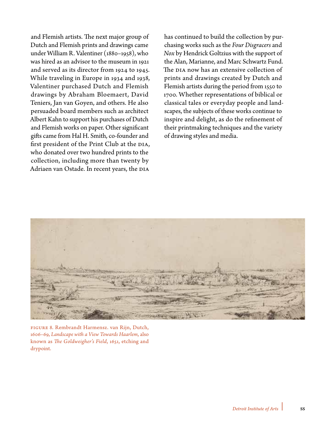and Flemish artists. The next major group of Dutch and Flemish prints and drawings came under William R. Valentiner (1880–1958), who was hired as an advisor to the museum in 1921 and served as its director from 1924 to 1945. While traveling in Europe in 1934 and 1938, Valentiner purchased Dutch and Flemish drawings by Abraham Bloemaert, David Teniers, Jan van Goyen, and others. He also persuaded board members such as architect Albert Kahn to support his purchases of Dutch and Flemish works on paper. Other significant gifts came from Hal H. Smith, co-founder and first president of the Print Club at the DIA, who donated over two hundred prints to the collection, including more than twenty by Adriaen van Ostade. In recent years, the DIA

has continued to build the collection by purchasing works such as the *Four Disgracers* and *Nox* by Hendrick Goltzius with the support of the Alan, Marianne, and Marc Schwartz Fund. The DIA now has an extensive collection of prints and drawings created by Dutch and Flemish artists during the period from 1550 to 1700. Whether representations of biblical or classical tales or everyday people and landscapes, the subjects of these works continue to inspire and delight, as do the refinement of their printmaking techniques and the variety of drawing styles and media.



Figure 8. Rembrandt Harmensz. van Rijn, Dutch, 1606–69, *Landscape with a View Towards Haarlem*, also known as *The Goldweigher's Field*, 1651, etching and drypoint.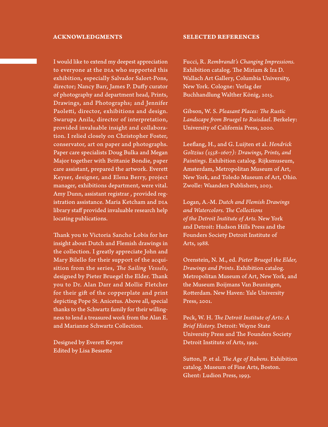#### **ACKNOWLEDGMENTS**

I would like to extend my deepest appreciation to everyone at the DIA who supported this exhibition, especially Salvador Salort-Pons, director; Nancy Barr, James P. Duffy curator of photography and department head, Prints, Drawings, and Photographs; and Jennifer Paoletti, director, exhibitions and design. Swarupa Anila, director of interpretation, provided invaluable insight and collaboration. I relied closely on Christopher Foster, conservator, art on paper and photographs. Paper care specialists Doug Bulka and Megan Major together with Brittanie Bondie, paper care assistant, prepared the artwork. Everett Keyser, designer, and Elena Berry, project manager, exhibitions department, were vital. Amy Dunn, assistant registrar , provided registration assistance. Maria Ketcham and DIA library staff provided invaluable research help locating publications.

Thank you to Victoria Sancho Lobis for her insight about Dutch and Flemish drawings in the collection. I greatly appreciate John and Mary Bilello for their support of the acquisition from the series, *The Sailing Vessels*, designed by Pieter Bruegel the Elder. Thank you to Dr. Alan Darr and Mollie Fletcher for their gift of the copperplate and print depicting Pope St. Anicetus. Above all, special thanks to the Schwartz family for their willingness to lend a treasured work from the Alan E. and Marianne Schwartz Collection.

Designed by Everett Keyser Edited by Lisa Bessette

#### **SELECTED REFERENCES**

Fucci, R. *Rembrandt's Changing Impressions.* Exhibition catalog. The Miriam & Ira D. Wallach Art Gallery, Columbia University, New York. Cologne: Verlag der Buchhandlung Walther König, 2015.

Gibson, W. S. *Pleasant Places: The Rustic Landscape from Bruegel to Ruisdael*. Berkeley: University of California Press, 2000.

Leeflang, H., and G. Luijten et al. *Hendrick Goltzius (1558–1607): Drawings, Prints, and Paintings*. Exhibition catalog. Rijksmuseum, Amsterdam, Metropolitan Museum of Art, New York, and Toledo Museum of Art, Ohio. Zwolle: Waanders Publishers, 2003.

Logan, A.-M. *Dutch and Flemish Drawings and Watercolors. The Collections of the Detroit Institute of Arts.* New York and Detroit: Hudson Hills Press and the Founders Society Detroit Institute of Arts, 1988.

Orenstein, N. M., ed. *Pieter Bruegel the Elder, Drawings and Prints*. Exhibition catalog. Metropolitan Museum of Art, New York, and the Museum Boijmans Van Beuningen, Rotterdam. New Haven: Yale University Press, 2001.

Peck, W. H. *The Detroit Institute of Arts: A Brief History.* Detroit: Wayne State University Press and The Founders Society Detroit Institute of Arts, 1991.

Sutton, P. et al. *The Age of Rubens*. Exhibition catalog. Museum of Fine Arts, Boston. Ghent: Ludion Press, 1993.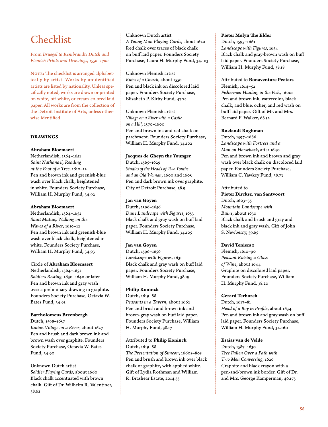### Checklist

From *Bruegel to Rembrandt: Dutch and Flemish Prints and Drawings, 1550–1700*

NOTE: The checklist is arranged alphabetically by artist. Works by unidentified artists are listed by nationality. Unless specifically noted, works are drawn or printed on white, off-white, or cream-colored laid paper. All works are from the collection of the Detroit Institute of Arts, unless otherwise identified.

#### **DRAWINGS**

#### **Abraham Bloemaert**

Netherlandish, 1564–1651 *Saint Nathanael, Reading at the Foot of a Tree*, 1610–12 Pen and brown ink and greenish-blue wash over black chalk, heightened in white. Founders Society Purchase, William H. Murphy Fund, 34.92

#### **Abraham Bloemaert**

Netherlandish, 1564–1651 *Saint Mutius, Walking on the Waves of a River*, 1610–12 Pen and brown ink and greenish-blue wash over black chalk, heightened in white. Founders Society Purchase, William H. Murphy Fund, 34.93

#### Circle of **Abraham Bloemaert**

Netherlandish, 1564–1651 *Soldiers Resting*, 1630–1640 or later Pen and brown ink and gray wash over a preliminary drawing in graphite. Founders Society Purchase, Octavia W. Bates Fund, 34.91

#### **Bartholomeus Breenbergh**

Dutch, 1598–1657

*Italian Village on a River*, about 1627 Pen and brush and dark brown ink and brown wash over graphite. Founders Society Purchase, Octavia W. Bates Fund, 34.90

Unknown Dutch artist *Soldier Playing Cards*, about 1660 Black chalk accentuated with brown chalk. Gift of Dr. Wilhelm R. Valentiner, 38.62

#### Unknown Dutch artist

*A Young Man Playing Cards*, about 1620 Red chalk over traces of black chalk on buff laid paper. Founders Society Purchase, Laura H. Murphy Fund, 34.103

Unknown Flemish artist *Ruins of a Church*, about 1550 Pen and black ink on discolored laid paper. Founders Society Purchase, Elizabeth P. Kirby Fund, 47.74

Unknown Flemish artist *Village on a River with a Castle on a Hill*, 1570–1600 Pen and brown ink and red chalk on parchment. Founders Society Purchase, William H. Murphy Fund, 34.102

#### **Jacques de Gheyn the Younger**

Dutch, 1565–1629 *Studies of the Heads of Two Youths and an Old Woman*, 1600 and 1605 Pen and dark brown ink over graphite. City of Detroit Purchase, 38.9

#### **Jan van Goyen**

Dutch, 1596–1656 *Dune Landscape with Figures*, 1653 Black chalk and gray wash on buff laid paper. Founders Society Purchase, William H. Murphy Fund, 34.105

#### **Jan van Goyen**

Dutch, 1596–1656 *Landscape with Figures*, 1631 Black chalk and gray wash on buff laid paper. Founders Society Purchase, William H. Murphy Fund, 38.19

#### **Philip Koninck**

Dutch, 1619–88 *Peasants in a Tavern*, about 1662 Pen and brush and brown ink and brown-gray wash on buff laid paper. Founders Society Purchase, William H. Murphy Fund, 38.17

#### Attributed to **Philip Koninck**

Dutch, 1619–88 *The Presentation of Simeon*, 1660s–80s Pen and brush and brown ink over black chalk or graphite, with applied white. Gift of Lydia Rothman and William R. Brashear Estate, 2014.33

#### **Pieter Molyn The Elder**

Dutch, 1595–1661 *Landscape with Figures*, 1654 Black chalk and gray-brown wash on buff laid paper. Founders Society Purchase, William H. Murphy Fund, 38.18

#### Attributed to **Bonaventure Peeters**

Flemish, 1614–52 *Fishermen Hauling in the Fish*, 1600s Pen and brown ink, watercolor, black chalk, and blue, ocher, and red wash on buff laid paper. Gift of Mr. and Mrs. Bernard F. Walker, 68.32

#### **Roelandt Roghman**

Dutch, 1597–1686 *Landscape with Fortress and a Man on Horseback*, after 1640 Pen and brown ink and brown and gray wash over black chalk on discolored laid paper. Founders Society Purchase, William C. Yawkey Fund, 38.73

#### Attributed to

**Pieter Dircksz. van Santvoort** Dutch, 1603–35 *Mountain Landscape with Ruins*, about 1630 Black chalk and brush and gray and black ink and gray wash. Gift of John S. Newberry, 59.65

#### **David Teniers I**

Flemish, 1610–90 *Peasant Raising a Glass of Wine*, about 1644 Graphite on discolored laid paper. Founders Society Purchase, William H. Murphy Fund, 38.20

#### **Gerard Terborch**

Dutch, 1617–81 *Head of a Boy in Profile*, about 1634 Pen and brown ink and gray wash on buff laid paper. Founders Society Purchase, William H. Murphy Fund, 34.160

#### **Esaias van de Velde**

Dutch, 1587–1630 *Tree Fallen Over a Path with Two Men Conversing*, 1626 Graphite and black crayon with a pen-and-brown ink border. Gift of Dr. and Mrs. George Kamperman, 46.175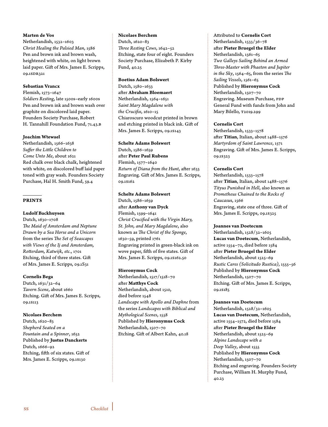#### **Marten de Vos**

Netherlandish, 1532–1603 *Christ Healing the Palsied Man*, 1586 Pen and brown ink and brown wash, heightened with white, on light brown laid paper. Gift of Mrs. James E. Scripps, 09.1SDR321

#### **Sebastian Vrancx**

Flemish, 1573–1647 *Soldiers Resting*, late 1500s–early 1600s Pen and brown ink and brown wash over graphite on discolored laid paper. Founders Society Purchase, Robert H. Tannahill Foundation Fund, 71.43.B

#### **Joachim Wtewael**

Netherlandish, 1566–1638 *Suffer the Little Children to Come Unto Me*, about 1621 Red chalk over black chalk, heightened with white, on discolored buff laid paper toned with gray wash. Founders Society Purchase, Hal H. Smith Fund, 59.4

#### **PRINTS**

#### **Ludolf Backhuysen**

Dutch, 1630–1708 *The Maid of Amsterdam and Neptune Drawn by a Sea Horse and a Unicorn* from the series *The Set of Seascapes with Views of the Ij and Amsterdam, Rotterdam, Katwijk, etc.*, 1701 Etching, third of three states. Gift of Mrs. James E. Scripps, 09.1S31

#### **Cornelis Bega**

Dutch, 1631/32–64 *Tavern Scene*, about 1660 Etching. Gift of Mrs. James E. Scripps, 09.1S113

#### **Nicolaes Berchem**

Dutch, 1620–83 *Shepherd Seated on a Fountain and a Spinner*, 1652 Published by **Justus Danckerts** Dutch, 1666–92 Etching, fifth of six states. Gift of Mrs. James E. Scripps, 09.1S130

#### **Nicolaes Berchem**

Dutch, 1620–83 *Three Resting Cows*, 1642–52 Etching, state four of eight. Founders Society Purchase, Elizabeth P. Kirby Fund, 40.25

#### **Boetius Adam Bolswert** Dutch, 1580–1633

after **Abraham Bloemaert** Netherlandish, 1564–1651 *Saint Mary Magdalene with the Crucifix*, 1610–15 Chiaroscuro woodcut printed in brown and etching printed in black ink. Gift of Mrs. James E. Scripps, 09.1S143

#### **Schelte Adams Bolswert**

Dutch, 1586–1659 after **Peter Paul Rubens** Flemish, 1577–1640 *Return of Diana from the Hunt*, after 1633 Engraving. Gift of Mrs. James E. Scripps, 09.1S162

#### **Schelte Adams Bolswert**

Dutch, 1586–1659 after **Anthony van Dyck** Flemish, 1599–1641 *Christ Crucified with the Virgin Mary, St. John, and Mary Magdalene*, also known as *The Christ of the Sponge*, 1630–59, printed 1761 Engraving printed in green-black ink on wove paper, fifth of five states. Gift of Mrs. James E. Scripps, 09.1S162.50

#### **Hieronymus Cock**

Netherlandish, 1517/1518–70 after **Matthys Cock** Netherlandish, about 1510, died before 1548 *Landscape with Apollo and Daphne* from the series *Landscapes with Biblical and Mythological Scenes*, 1558 Published by **Hieronymus Cock** Netherlandish, 1507–70 Etching. Gift of Albert Kahn, 40.18

#### Attributed to **Cornelis Cort** Netherlandish, 1533/36–78 after **Pieter Bruegel the Elder** Netherlandish, 1561–65 *Two Galleys Sailing Behind an Armed Three-Master with Phaeton and Jupiter in the Sky*, 1564–65, from the series *The Sailing Vessels*, 1561–65 Published by **Hieronymus Cock** Netherlandish, 1507–70 Engraving. Museum Purchase, PDP General Fund with funds from John and Mary Bilello, T2019.299

#### **Cornelis Cort**

Netherlandish, 1533–1578 after **Titian**, Italian, about 1488–1576 *Martyrdom of Saint Lawrence*, 1571 Engraving. Gift of Mrs. James E. Scripps, 09.1S323

#### **Cornelis Cort**

Netherlandish, 1533–1578 after **Titian**, Italian, about 1488–1576 *Tityus Punished in Hell*, also known as *Prometheus Chained to the Rocks of Caucasu*s, 1566 Engraving, state one of three. Gift of Mrs. James E. Scripps, 09.1S325

#### **Joannes van Doetecum**

Netherlandish, 1528/32–1605 **Lucas van Doetecum**, Netherlandish, active 1554–72, died before 1584 after **Pieter Bruegel the Elder** Netherlandish, about 1525–69 *Rustic Cares (Solicitudo Rustica)*, 1555–56 Published by **Hieronymus Cock** Netherlandish, 1507–70 Etching. Gift of Mrs. James E. Scripps, 09.1S185

#### **Joannes van Doetecum**

Netherlandish, 1528/32–1605 **Lucas van Doetecum**, Netherlandish, active 1554–1572, died before 1584 after **Pieter Bruegel the Elder** Netherlandish, about 1525–69 *Alpine Landscape with a Deep Valley*, about 1555 Published by **Hieronymus Cock** Netherlandish, 1507–70 Etching and engraving. Founders Society Purchase, William H. Murphy Fund, 40.23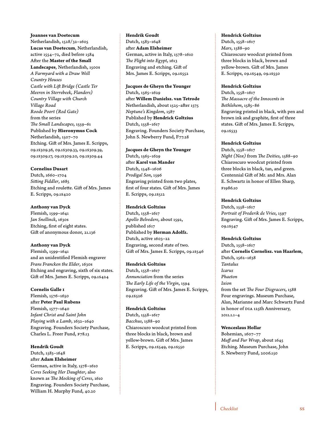#### **Joannes van Doetecum**

Netherlandish, 1528/32–1605 **Lucas van Doetecum**, Netherlandish, active 1554–72, died before 1584 After the **Master of the Small Landscapes**, Netherlandish, 1500s *A Farmyard with a Draw Well Country Houses Castle with Lift Bridge (Castle Ter Meeren in Sterrebeek, Flanders) Country Village with Church Village Road Roode Poort (Red Gate)* from the series *The Small Landscapes*, 1559–61 Published by **Hieronymus Cock** Netherlandish, 1507–70 Etching. Gift of Mrs. James E. Scripps, 09.1S309.36, 09.1S309.33, 09.1S309.39, 09.1S309.17, 09.1S309.20, 09.1S309.44

#### **Cornelius Dusart**

Dutch, 1660–1704 *Sitting Fiddler*, 1685 Etching and roulette. Gift of Mrs. James E. Scripps, 09.1S420

#### **Anthony van Dyck**

Flemish, 1599–1641 *Jan Snellinck*, 1630s Etching, first of eight states. Gift of anonymous donor, 21.136

#### **Anthony van Dyck**

Flemish, 1599–1641 and an unidentified Flemish engraver *Frans Francken the Elder*, 1630s Etching and engraving, sixth of six states. Gift of Mrs. James E. Scripps, 09.1S424

#### **Cornelis Galle I**

Flemish, 1576–1650 after **Peter Paul Rubens** Flemish, 1577–1640 *Infant Christ and Saint John Playing with a Lamb*, 1632–1640 Engraving. Founders Society Purchase, Charles L. Freer Fund, F78.13

**Hendrik Goudt** Dutch, 1583–1648

after **Adam Elsheimer**

German, active in Italy, 1578–1610 *Ceres Seeking Her Daughter*, also known as *The Mocking of Ceres*, 1610 Engraving. Founders Society Purchase, William H. Murphy Fund, 40.20

#### **Hendrik Goudt**

Dutch, 1583–1648 after **Adam Elsheimer** German, active in Italy, 1578–1610 *The Flight into Egypt***,** 1613 Engraving and etching. Gift of Mrs. James E. Scripps, 09.1S552

#### **Jacques de Gheyn the Younger**

Dutch, 1565–1629 after **Willem Danielsz. van Tetrode** Netherlandish, about 1525–after 1575 *Neptune's Kingdom*, 1587 Published by **Hendrick Goltzius** Dutch, 1558–1617 Engraving. Founders Society Purchase, John S. Newberry Fund, F77.28

#### **Jacques de Gheyn the Younger**

Dutch, 1565–1629 after **Karel van Mander** Dutch, 1548–1606 *Prodigal Son*, 1596 Engraving printed from two plates, first of four states. Gift of Mrs. James E. Scripps, 09.1S512

#### **Hendrick Goltzius**

Dutch, 1558–1617 *Apollo Belvedere*, about 1592, published 1617 Published by **Herman Adolfz.** Dutch, active 1603–22 Engraving, second state of two. Gift of Mrs. James E. Scripps, 09.1S546

#### **Hendrick Goltzius**

Dutch, 1558–1617 *Annunciation* from the series *The Early Life of the Virgin*, 1594 Engraving. Gift of Mrs. James E. Scripps, 09.1S526

#### **Hendrick Goltzius**

Dutch, 1558–1617 *Bacchus*, 1588–90 Chiaroscuro woodcut printed from three blocks in black, brown and yellow-brown. Gift of Mrs. James E. Scripps, 09.1S549, 09.1S550

#### **Hendrick Goltzius**

Dutch, 1558–1617 *Mars*, 1588–90 Chiaroscuro woodcut printed from three blocks in black, brown and yellow-brown. Gift of Mrs. James E. Scripps, 09.1S549, 09.1S550

#### **Hendrick Goltzius**

Dutch, 1558–1617 *The Massacre of the Innocents in Bethlehem*, 1585–86 Engraving printed in black, with pen and brown ink and graphite, first of three states. Gift of Mrs. James E. Scripps, 09.1S533

#### **Hendrick Goltzius**

Dutch, 1558–1617 *Night (Nox)* from *The Deities*, 1588–90 Chiaroscuro woodcut printed from three blocks in black, tan, and green. Centennial Gift of Mr. and Mrs. Alan E. Schwartz in honor of Ellen Sharp, F1986.10

#### **Hendrick Goltzius**

Dutch, 1558–1617 *Portrait of Frederik de Vries*, 1597 Engraving. Gift of Mrs. James E. Scripps, 09.1S547

#### **Hendrick Goltzius**

Dutch, 1558–1617 after **Cornelis Cornelisz. van Haarlem**, Dutch, 1562–1638 *Tantalus Icarus Phaeton Ixion* from the set *The Four Disgracers*, 1588

Four engravings. Museum Purchase, Alan, Marianne and Marc Schwartz Fund in honor of DIA 125th Anniversary, 2011.1.1–4

#### **Wenceslaus Hollar**

Bohemian, 1607–77 *Muff and Fur Wrap*, about 1645 Etching. Museum Purchase, John S. Newberry Fund, 2006.150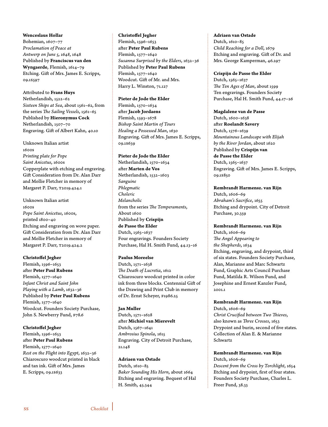#### **Wenceslaus Hollar**

Bohemian, 1607–77 *Proclamation of Peace at Antwerp on June 5, 1648*, 1648 Published by **Franciscus van den Wyngaerde**, Flemish, 1614–79 Etching. Gift of Mrs. James E. Scripps, 09.1S597

Attributed to **Frans Huys** Netherlandish, 1522–62 *Sixteen Ships at Sea*, about 1561–62, from the series *The Sailing Vessels*, 1561–65 Published by **Hieronymus Cock** Netherlandish, 1507–70 Engraving. Gift of Albert Kahn, 40.10

Unknown Italian artist 1600s *Printing plate for Pope Saint Anicetus*, 1600s Copperplate with etching and engraving. Gift Consideration from Dr. Alan Darr and Mollie Fletcher in memory of Margaret P. Darr, T2019.424.1

Unknown Italian artist 1600s *Pope Saint Anicetus*, 1600s, printed 1800–40 Etching and engraving on wove paper. Gift Consideration from Dr. Alan Darr and Mollie Fletcher in memory of Margaret P. Darr, T2019.424.2

#### **Christoffel Jegher**

Flemish, 1596–1653 after **Peter Paul Rubens** Flemish, 1577–1640 *Infant Christ and Saint John Playing with a Lamb*, 1632–36 Published by **Peter Paul Rubens** Flemish, 1577–1640 Woodcut. Founders Society Purchase, John S. Newberry Fund, F78.6

#### **Christoffel Jegher**

Flemish, 1596–1653 after **Peter Paul Rubens** Flemish, 1577–1640 *Rest on the Flight into Egypt*, 1632–36 Chiaroscuro woodcut printed in black and tan ink. Gift of Mrs. James E. Scripps, 09.1S633

#### **Christoffel Jegher**

Flemish, 1596–1653 after **Peter Paul Rubens** Flemish, 1577–1640 *Susanna Surprised by the Elders*, 1632–36 Published by **Peter Paul Rubens** Flemish, 1577–1640 Woodcut. Gift of Mr. and Mrs. Harry L. Winston, 71.127

#### **Pieter de Jode the Elder** Flemish, 1570–1634 after **Jacob Jordaens** Flemish, 1593–1678 *Bishop Saint Martin of Tours Healing a Possessed Man*, 1630 Engraving. Gift of Mrs. James E. Scripps,

#### **Pieter de Jode the Elder**

09.1S639

Netherlandish, 1570–1634 after **Marten de Vos** Netherlandish, 1532–1603 *Sanguine Phlegmatic Choleric Melancholic* from the series *The Temperaments*, About 1600 Published by **Crispijn de Passe the Elder** Dutch, 1565–1637 Four engravings. Founders Society Purchase, Hal H. Smith Fund, 44.13–16

#### **Paulus Moreelse**

Dutch, 1571–1638 *The Death of Lucretia*, 1612 Chiaroscuro woodcut printed in color ink from three blocks. Centennial Gift of the Drawing and Print Club in memory of Dr. Ernst Scheyer, F1986.25

#### **Jan Muller**

Dutch, 1571–1628 after **Michiel van Mierevelt** Dutch, 1567–1641 *Ambrosius Spinola*, 1615 Engraving. City of Detroit Purchase, 21.148

#### **Adriaen van Ostade**

Dutch, 1610–85 *Baker Sounding His Horn*, about 1664 Etching and engraving. Bequest of Hal H. Smith, 45.344

#### **Adriaen van Ostade**

Dutch, 1610–85 *Child Reaching for a Doll*, 1679 Etching and engraving. Gift of Dr. and Mrs. George Kamperman, 46.297

#### **Crispijn de Passe the Elder**

Dutch, 1565–1637 *The Ten Ages of Man*, about 1599 Ten engravings. Founders Society Purchase, Hal H. Smith Fund, 44.17–26

#### **Magdalene van de Passe**

Dutch, 1600–1638 after **Roelandt Savery** Dutch, 1576–1639 *Mountainous Landscape with Elijah by the River Jordan*, about 1620 Published by **Crispijn van de Passe the Elder** Dutch, 1565–1637 Engraving. Gift of Mrs. James E. Scripps, 09.1S850

**Rembrandt Harmensz. van Rijn** Dutch, 1606–69 *Abraham's Sacrifice*, 1655 Etching and drypoint. City of Detroit Purchase, 30.359

#### **Rembrandt Harmensz. van Rijn**

Dutch, 1606–69 *The Angel Appearing to the Shepherds*, 1634 Etching, engraving, and drypoint, third of six states. Founders Society Purchase, Alan, Marianne and Marc Schwartz Fund, Graphic Arts Council Purchase Fund, Matilda R. Wilson Fund, and Josephine and Ernest Kanzler Fund, 2001.1

#### **Rembrandt Harmensz. van Rijn**

Dutch, 1606–69 *Christ Crucified between Two Thieves*, also known as *Three Crosses*, 1653 Drypoint and burin, second of five states. Collection of Alan E. & Marianne Schwartz

#### **Rembrandt Harmensz. van Rijn**

Dutch, 1606–69 *Descent from the Cross by Torchlight*, 1654 Etching and drypoint, first of four states. Founders Society Purchase, Charles L. Freer Fund, 38.33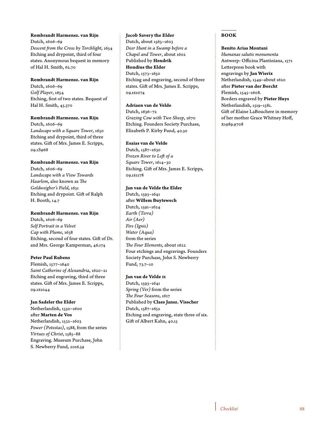#### **Rembrandt Harmensz. van Rijn**

Dutch, 1606–69 *Descent from the Cross by Torchlight*, 1654 Etching and drypoint, third of four states. Anonymous bequest in memory of Hal H. Smith, 62.70

#### **Rembrandt Harmensz. van Rijn**

Dutch, 1606–69 *Golf Player*, 1654 Etching, first of two states. Bequest of Hal H. Smith, 45.370

#### **Rembrandt Harmensz. van Rijn**

Dutch, 1606–69 *Landscape with a Square Tower***,** 1650 Etching and drypoint, third of three states. Gift of Mrs. James E. Scripps, 09.1S968

#### **Rembrandt Harmensz. van Rijn**

Dutch, 1606–69 *Landscape with a View Towards Haarlem*, also known as *The Goldweigher's Field*, 1651 Etching and drypoint. Gift of Ralph H. Booth, 14.7

#### **Rembrandt Harmensz. van Rijn**

Dutch, 1606–69 *Self Portrait in a Velvet Cap with Plume*, 1638 Etching, second of four states. Gift of Dr. and Mrs. George Kamperman, 46.174

#### **Peter Paul Rubens**

Flemish, 1577–1640 *Saint Catherine of Alexandria*, 1620–21 Etching and engraving, third of three states. Gift of Mrs. James E. Scripps, 09.1S1044

#### **Jan Sadeler the Elder**

Netherlandish, 1550–1600 after **Marten de Vos** Netherlandish, 1532–1603 *Power (Potestas)*, 1588, from the series *Virtues of Christ*, 1585–88 Engraving. Museum Purchase, John S. Newberry Fund, 2016.59

#### **Jacob Savery the Elder**

Dutch, about 1565–1603 *Deer Hunt in a Swamp before a Chapel and Tower*, about 1602 Published by **Hendrik Hondius the Elder** Dutch, 1573–1650 Etching and engraving, second of three states. Gift of Mrs. James E. Scripps, 09.1S1074

#### **Adriaen van de Velde**

Dutch, 1636–72 *Grazing Cow with Two Sheep*, 1670 Etching. Founders Society Purchase, Elizabeth P. Kirby Fund, 40.30

#### **Esaias van de Velde**

Dutch, 1587–1630 *Frozen River to Left of a Square Tower*, 1614–30 Etching. Gift of Mrs. James E. Scripps, 09.1S1178

#### **Jan van de Velde the Elder**

Dutch, 1593–1641 after **Willem Buytewech** Dutch, 1591–1624 *Earth (Terra) Air (Aer) Fire (Ignis) Water (Aqua)* from the series *The Four Elements*, about 1622 Four etchings and engravings. Founders Society Purchase, John S. Newberry Fund, 73.7–10

#### **Jan van de Velde II**

Dutch, 1593–1641 *Spring (Ver)* from the series *The Four Seasons*, 1617 Published by **Claes Jansz. Visscher** Dutch, 1587–1652 Etching and engraving, state three of six. Gift of Albert Kahn, 40.15

#### **BOOK**

#### **Benito Arias Montani**

*Humanae salutis monumenta* Antwerp: Officina Plantiniana, 1571 Letterpress book with engravings by **Jan Wierix** Netherlandish, 1549–about 1620 after **Pieter van der Borcht** Flemish, 1545–1608. Borders engraved by **Pieter Huys** Netherlandish, 1519–1581. Gift of Elaine LaBouchere in memory of her mother Grace Whitney Hoff, X1989.9708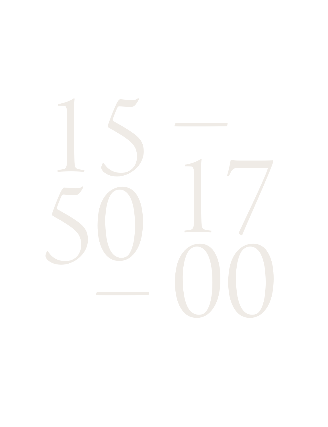